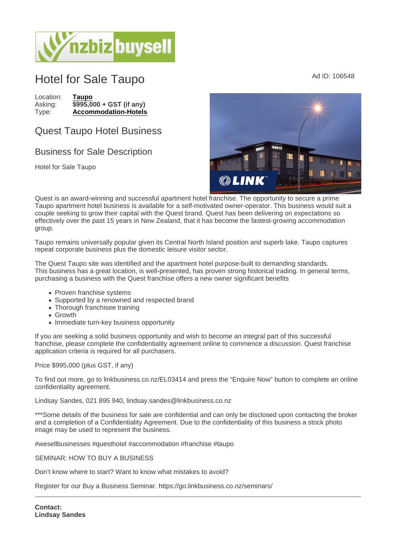## Hotel for Sale Taupo Ad ID: 106548

Location: [Taupo](https://www.nzbizbuysell.co.nz/businesses-for-sale/location/Taupo) Asking:  $\sqrt{$995,000 + \text{GST}}$  (if any)<br>Type: Accommodation-Hotels [Accommodation-Hotels](https://www.nzbizbuysell.co.nz/businesses-for-sale/Hotels/New-Zealand)

## Quest Taupo Hotel Business

## Business for Sale Description

Hotel for Sale Taupo

Quest is an award-winning and successful apartment hotel franchise. The opportunity to secure a prime Taupo apartment hotel business is available for a self-motivated owner-operator. This business would suit a couple seeking to grow their capital with the Quest brand. Quest has been delivering on expectations so effectively over the past 15 years in New Zealand, that it has become the fastest-growing accommodation group.

Taupo remains universally popular given its Central North Island position and superb lake. Taupo captures repeat corporate business plus the domestic leisure visitor sector.

The Quest Taupo site was identified and the apartment hotel purpose-built to demanding standards. This business has a great location, is well-presented, has proven strong historical trading. In general terms, purchasing a business with the Quest franchise offers a new owner significant benefits

- Proven franchise systems
- Supported by a renowned and respected brand
- Thorough franchisee training
- Growth
- Immediate turn-key business opportunity

If you are seeking a solid business opportunity and wish to become an integral part of this successful franchise, please complete the confidentiality agreement online to commence a discussion. Quest franchise application criteria is required for all purchasers.

Price \$995,000 (plus GST, if any)

To find out more, go to linkbusiness.co.nz/EL03414 and press the "Enquire Now" button to complete an online confidentiality agreement.

Lindsay Sandes, 021 895 940, lindsay.sandes@linkbusiness.co.nz

\*\*\*Some details of the business for sale are confidential and can only be disclosed upon contacting the broker and a completion of a Confidentiality Agreement. Due to the confidentiality of this business a stock photo image may be used to represent the business.

#wesellbusinesses #questhotel #accommodation #franchise #taupo

SEMINAR: HOW TO BUY A BUSINESS

Don't know where to start? Want to know what mistakes to avoid?

Register for our Buy a Business Seminar. https://go.linkbusiness.co.nz/seminars/

Contact: Lindsay Sandes